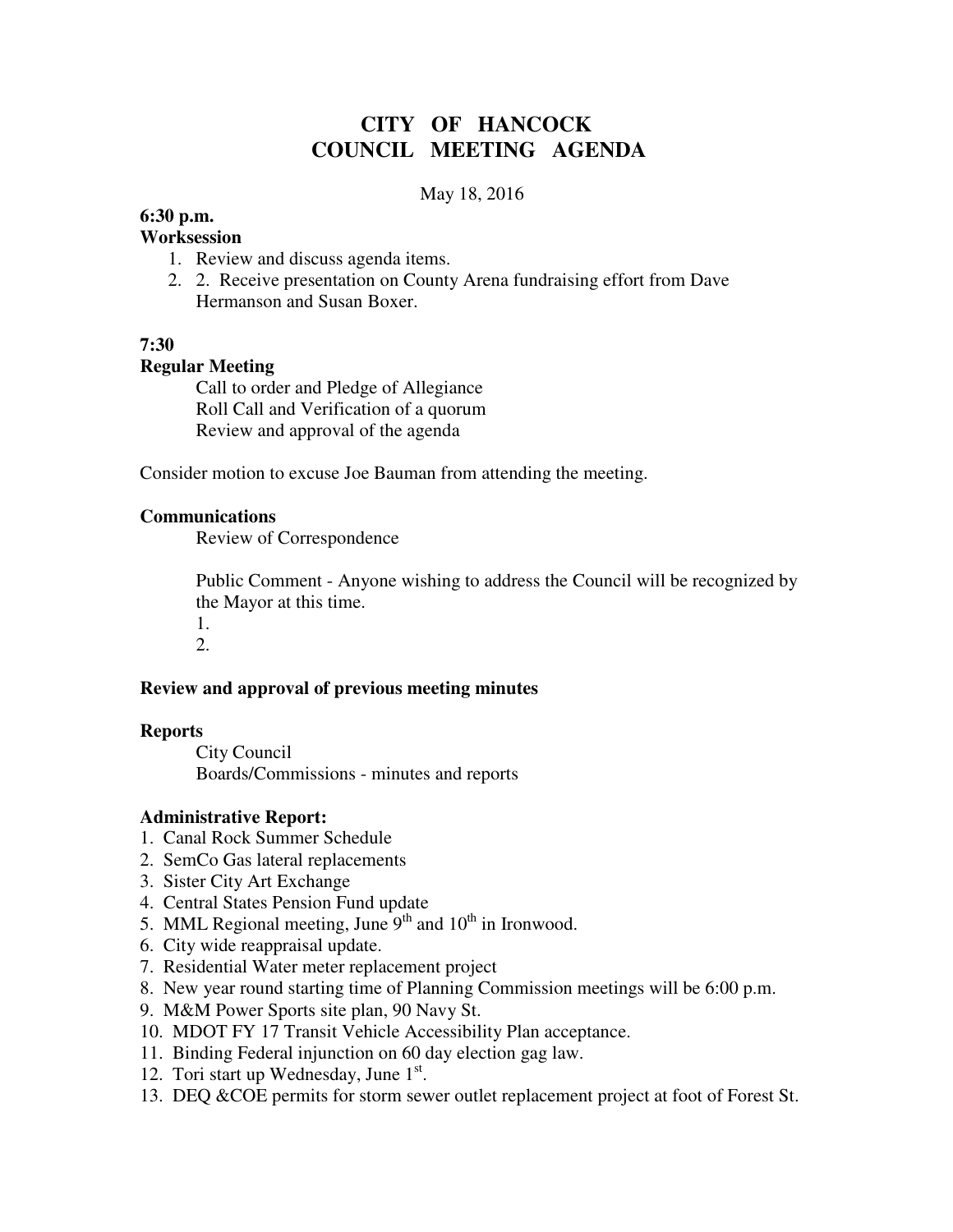# **CITY OF HANCOCK COUNCIL MEETING AGENDA**

#### May 18, 2016

## **6:30 p.m.**

#### **Worksession**

- 1. Review and discuss agenda items.
- 2. 2. Receive presentation on County Arena fundraising effort from Dave Hermanson and Susan Boxer.

## **7:30**

#### **Regular Meeting**

 Call to order and Pledge of Allegiance Roll Call and Verification of a quorum Review and approval of the agenda

Consider motion to excuse Joe Bauman from attending the meeting.

#### **Communications**

Review of Correspondence

 Public Comment - Anyone wishing to address the Council will be recognized by the Mayor at this time.

1. 2.

# **Review and approval of previous meeting minutes**

#### **Reports**

City Council Boards/Commissions - minutes and reports

#### **Administrative Report:**

- 1. Canal Rock Summer Schedule
- 2. SemCo Gas lateral replacements
- 3. Sister City Art Exchange
- 4. Central States Pension Fund update
- 5. MML Regional meeting, June  $9<sup>th</sup>$  and  $10<sup>th</sup>$  in Ironwood.
- 6. City wide reappraisal update.
- 7. Residential Water meter replacement project
- 8. New year round starting time of Planning Commission meetings will be 6:00 p.m.
- 9. M&M Power Sports site plan, 90 Navy St.
- 10. MDOT FY 17 Transit Vehicle Accessibility Plan acceptance.
- 11. Binding Federal injunction on 60 day election gag law.
- 12. Tori start up Wednesday, June 1st.
- 13. DEQ &COE permits for storm sewer outlet replacement project at foot of Forest St.